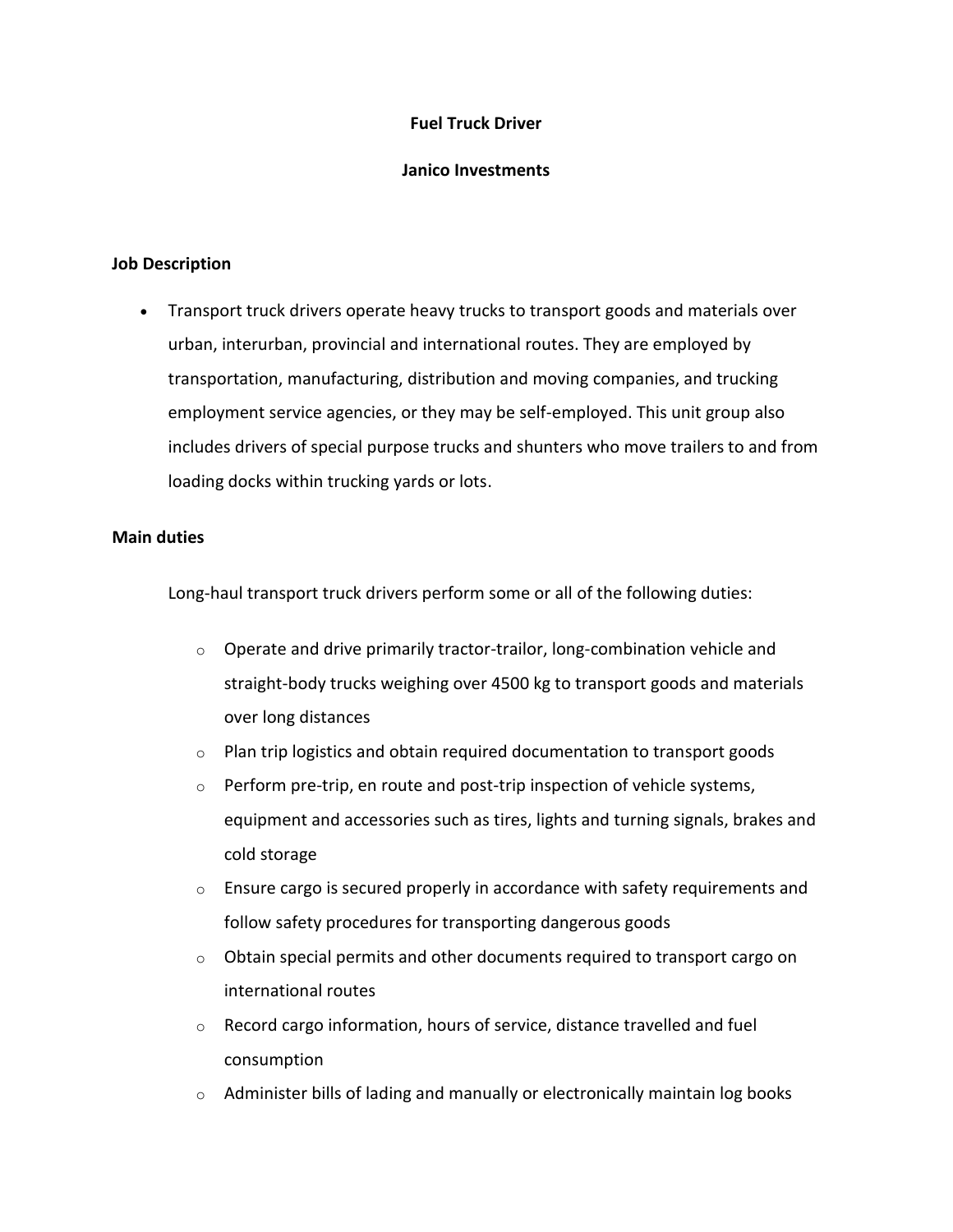## **Fuel Truck Driver**

## **Janico Investments**

#### **Job Description**

• Transport truck drivers operate heavy trucks to transport goods and materials over urban, interurban, provincial and international routes. They are employed by transportation, manufacturing, distribution and moving companies, and trucking employment service agencies, or they may be self-employed. This unit group also includes drivers of special purpose trucks and shunters who move trailers to and from loading docks within trucking yards or lots.

### **Main duties**

Long-haul transport truck drivers perform some or all of the following duties:

- $\circ$  Operate and drive primarily tractor-trailor, long-combination vehicle and straight-body trucks weighing over 4500 kg to transport goods and materials over long distances
- $\circ$  Plan trip logistics and obtain required documentation to transport goods
- $\circ$  Perform pre-trip, en route and post-trip inspection of vehicle systems, equipment and accessories such as tires, lights and turning signals, brakes and cold storage
- $\circ$  Ensure cargo is secured properly in accordance with safety requirements and follow safety procedures for transporting dangerous goods
- $\circ$  Obtain special permits and other documents required to transport cargo on international routes
- o Record cargo information, hours of service, distance travelled and fuel consumption
- $\circ$  Administer bills of lading and manually or electronically maintain log books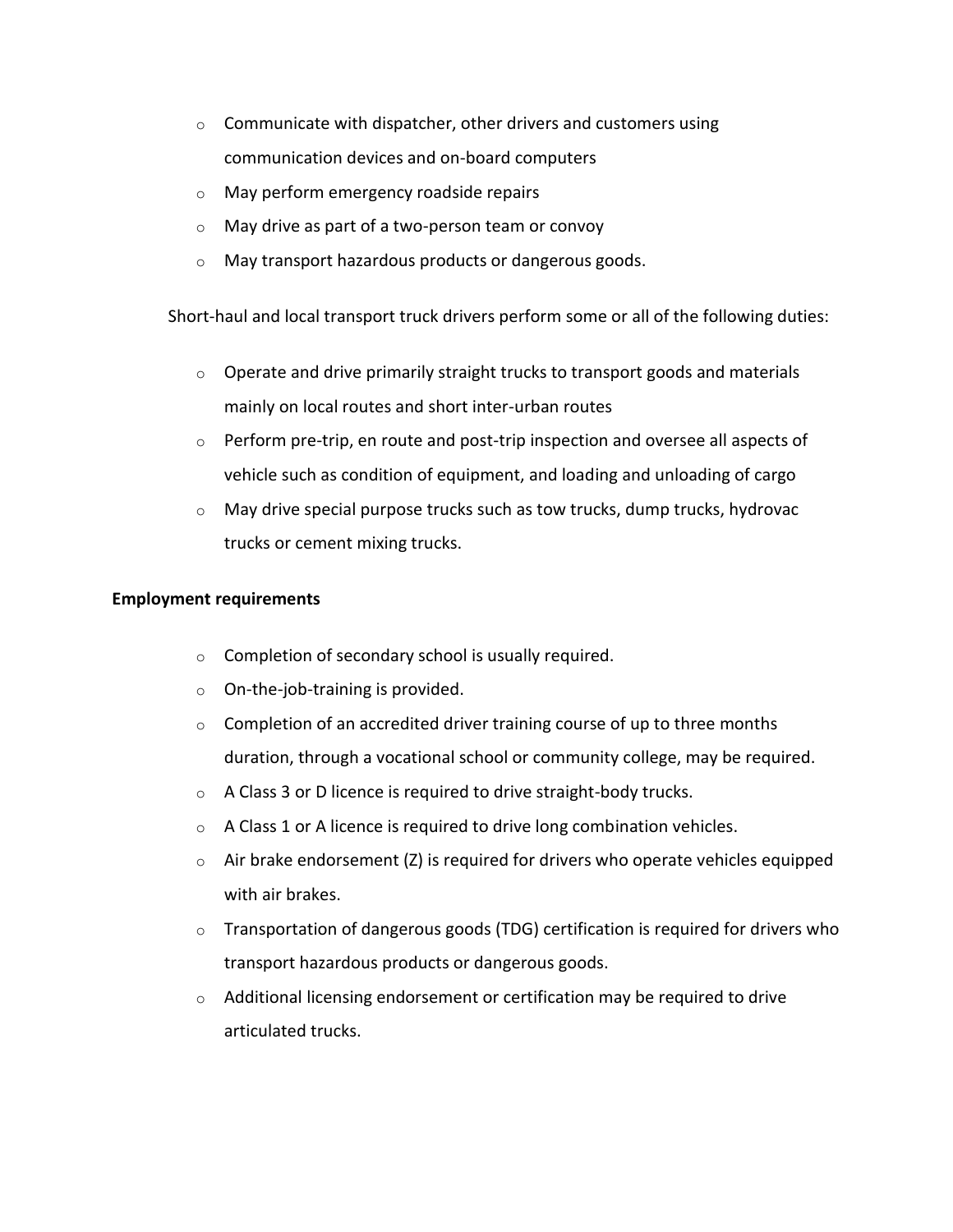- $\circ$  Communicate with dispatcher, other drivers and customers using communication devices and on-board computers
- o May perform emergency roadside repairs
- o May drive as part of a two-person team or convoy
- o May transport hazardous products or dangerous goods.

Short-haul and local transport truck drivers perform some or all of the following duties:

- $\circ$  Operate and drive primarily straight trucks to transport goods and materials mainly on local routes and short inter-urban routes
- o Perform pre-trip, en route and post-trip inspection and oversee all aspects of vehicle such as condition of equipment, and loading and unloading of cargo
- $\circ$  May drive special purpose trucks such as tow trucks, dump trucks, hydrovac trucks or cement mixing trucks.

## **Employment requirements**

- o Completion of secondary school is usually required.
- o On-the-job-training is provided.
- $\circ$  Completion of an accredited driver training course of up to three months duration, through a vocational school or community college, may be required.
- o A Class 3 or D licence is required to drive straight-body trucks.
- $\circ$  A Class 1 or A licence is required to drive long combination vehicles.
- $\circ$  Air brake endorsement (Z) is required for drivers who operate vehicles equipped with air brakes.
- $\circ$  Transportation of dangerous goods (TDG) certification is required for drivers who transport hazardous products or dangerous goods.
- $\circ$  Additional licensing endorsement or certification may be required to drive articulated trucks.